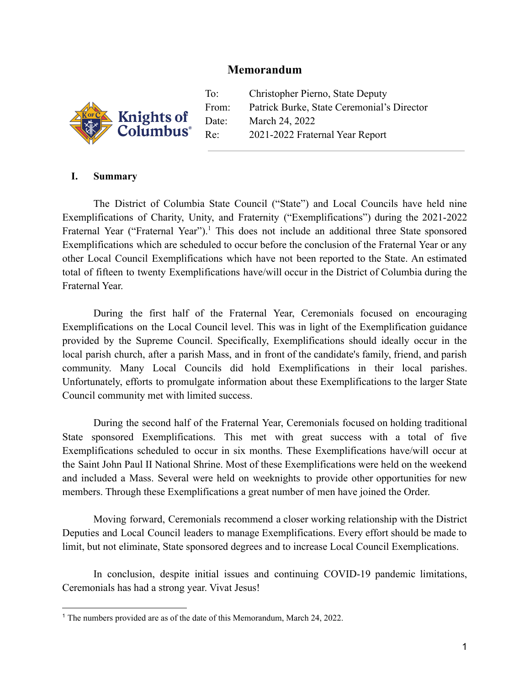## **Memorandum**



To: Christopher Pierno, State Deputy From: Patrick Burke, State Ceremonial's Director Date: March 24, 2022 Re: 2021-2022 Fraternal Year Report

## **I. Summary**

The District of Columbia State Council ("State") and Local Councils have held nine Exemplifications of Charity, Unity, and Fraternity ("Exemplifications") during the 2021-2022 Fraternal Year ("Fraternal Year").<sup>1</sup> This does not include an additional three State sponsored Exemplifications which are scheduled to occur before the conclusion of the Fraternal Year or any other Local Council Exemplifications which have not been reported to the State. An estimated total of fifteen to twenty Exemplifications have/will occur in the District of Columbia during the Fraternal Year.

During the first half of the Fraternal Year, Ceremonials focused on encouraging Exemplifications on the Local Council level. This was in light of the Exemplification guidance provided by the Supreme Council. Specifically, Exemplifications should ideally occur in the local parish church, after a parish Mass, and in front of the candidate's family, friend, and parish community. Many Local Councils did hold Exemplifications in their local parishes. Unfortunately, efforts to promulgate information about these Exemplifications to the larger State Council community met with limited success.

During the second half of the Fraternal Year, Ceremonials focused on holding traditional State sponsored Exemplifications. This met with great success with a total of five Exemplifications scheduled to occur in six months. These Exemplifications have/will occur at the Saint John Paul II National Shrine. Most of these Exemplifications were held on the weekend and included a Mass. Several were held on weeknights to provide other opportunities for new members. Through these Exemplifications a great number of men have joined the Order.

Moving forward, Ceremonials recommend a closer working relationship with the District Deputies and Local Council leaders to manage Exemplifications. Every effort should be made to limit, but not eliminate, State sponsored degrees and to increase Local Council Exemplications.

In conclusion, despite initial issues and continuing COVID-19 pandemic limitations, Ceremonials has had a strong year. Vivat Jesus!

<sup>1</sup> The numbers provided are as of the date of this Memorandum, March 24, 2022.